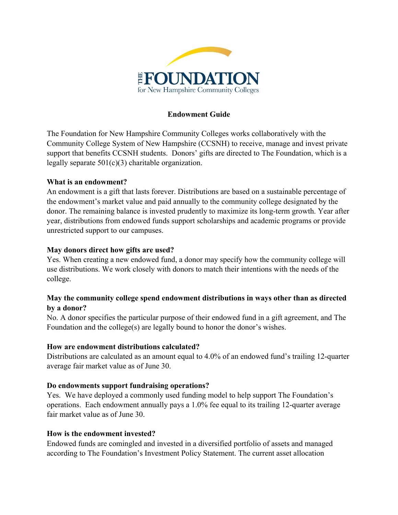

## **Endowment Guide**

The Foundation for New Hampshire Community Colleges works collaboratively with the Community College System of New Hampshire (CCSNH) to receive, manage and invest private support that benefits CCSNH students. Donors' gifts are directed to The Foundation, which is a legally separate  $501(c)(3)$  charitable organization.

## **What is an endowment?**

An endowment is a gift that lasts forever. Distributions are based on a sustainable percentage of the endowment's market value and paid annually to the community college designated by the donor. The remaining balance is invested prudently to maximize its long-term growth. Year after year, distributions from endowed funds support scholarships and academic programs or provide unrestricted support to our campuses.

#### **May donors direct how gifts are used?**

Yes. When creating a new endowed fund, a donor may specify how the community college will use distributions. We work closely with donors to match their intentions with the needs of the college.

## **May the community college spend endowment distributions in ways other than as directed by a donor?**

No. A donor specifies the particular purpose of their endowed fund in a gift agreement, and The Foundation and the college(s) are legally bound to honor the donor's wishes.

## **How are endowment distributions calculated?**

Distributions are calculated as an amount equal to 4.0% of an endowed fund's trailing 12-quarter average fair market value as of June 30.

#### **Do endowments support fundraising operations?**

Yes. We have deployed a commonly used funding model to help support The Foundation's operations. Each endowment annually pays a 1.0% fee equal to its trailing 12-quarter average fair market value as of June 30.

#### **How is the endowment invested?**

Endowed funds are comingled and invested in a diversified portfolio of assets and managed according to The Foundation's Investment Policy Statement. The current asset allocation